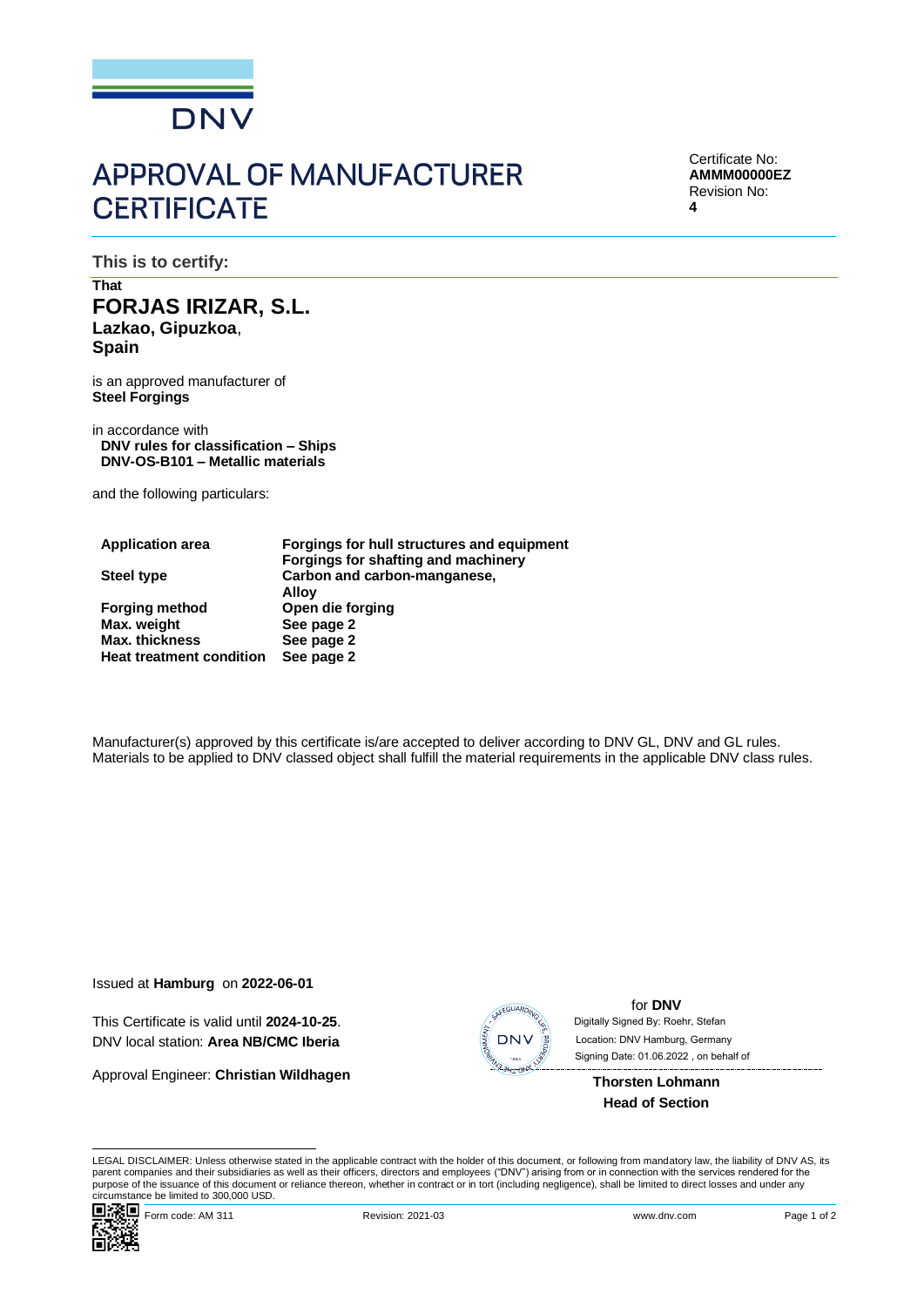

# **APPROVAL OF MANUFACTURER CERTIFICATE**

Certificate No: **AMMM00000EZ** Revision No: **4**

**This is to certify:**

## **That FORJAS IRIZAR, S.L. Lazkao, Gipuzkoa**, **Spain**

is an approved manufacturer of **Steel Forgings**

in accordance with **DNV rules for classification – Ships DNV-OS-B101 – Metallic materials**

and the following particulars:

| <b>Application area</b>         | Forgings for hull structures and equipment |
|---------------------------------|--------------------------------------------|
|                                 | Forgings for shafting and machinery        |
| <b>Steel type</b>               | Carbon and carbon-manganese,               |
|                                 | Alloy                                      |
| <b>Forging method</b>           | Open die forging                           |
| Max. weight                     | See page 2                                 |
| <b>Max. thickness</b>           | See page 2                                 |
| <b>Heat treatment condition</b> | See page 2                                 |

Manufacturer(s) approved by this certificate is/are accepted to deliver according to DNV GL, DNV and GL rules. Materials to be applied to DNV classed object shall fulfill the material requirements in the applicable DNV class rules.

Issued at **Hamburg** on **2022-06-01**

This Certificate is valid until **2024-10-25**. DNV local station: **Area NB/CMC Iberia**

Approval Engineer: **Christian Wildhagen**



for **DNV** Signing Date: 01.06.2022 , on behalf ofDigitally Signed By: Roehr, Stefan Location: DNV Hamburg, Germany

**Thorsten Lohmann Head of Section**

LEGAL DISCLAIMER: Unless otherwise stated in the applicable contract with the holder of this document, or following from mandatory law, the liability of DNV AS, its parent companies and their subsidiaries as well as their officers, directors and employees ("DNV") arising from or in connection with the services rendered for the purpose of the issuance of this document or reliance thereon, whether in contract or in tort (including negligence), shall be limited to direct losses and under any circumstance be limited to 300,000 USD.